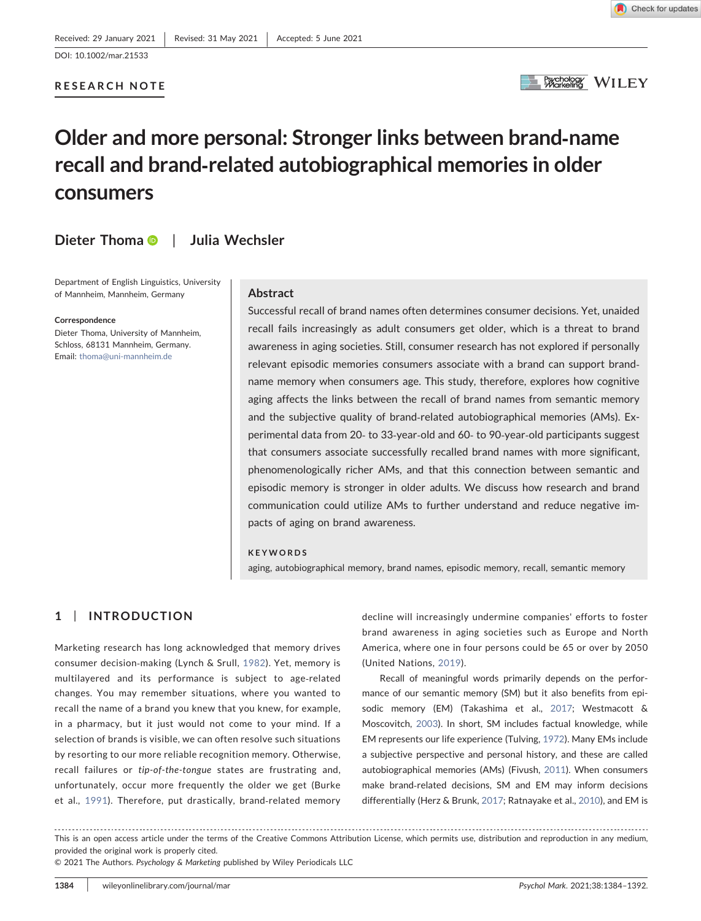#### RESEARCH NOTE



# Older and more personal: Stronger links between brand‐name recall and brand‐related autobiographical memories in older consumers

# Dieter Thom[a](http://orcid.org/0000-0001-6984-623X) **D** | Julia Wechsler

Department of English Linguistics, University of Mannheim, Mannheim, Germany

#### **Correspondence**

Dieter Thoma, University of Mannheim, Schloss, 68131 Mannheim, Germany. Email: [thoma@uni-mannheim.de](mailto:thoma@uni-mannheim.de)

#### Abstract

Successful recall of brand names often determines consumer decisions. Yet, unaided recall fails increasingly as adult consumers get older, which is a threat to brand awareness in aging societies. Still, consumer research has not explored if personally relevant episodic memories consumers associate with a brand can support brand‐ name memory when consumers age. This study, therefore, explores how cognitive aging affects the links between the recall of brand names from semantic memory and the subjective quality of brand‐related autobiographical memories (AMs). Experimental data from 20‐ to 33‐year‐old and 60‐ to 90‐year‐old participants suggest that consumers associate successfully recalled brand names with more significant, phenomenologically richer AMs, and that this connection between semantic and episodic memory is stronger in older adults. We discuss how research and brand communication could utilize AMs to further understand and reduce negative impacts of aging on brand awareness.

#### KEYWORDS

aging, autobiographical memory, brand names, episodic memory, recall, semantic memory

# 1 | INTRODUCTION

Marketing research has long acknowledged that memory drives consumer decision‐making (Lynch & Srull, [1982\)](#page-6-0). Yet, memory is multilayered and its performance is subject to age‐related changes. You may remember situations, where you wanted to recall the name of a brand you knew that you knew, for example, in a pharmacy, but it just would not come to your mind. If a selection of brands is visible, we can often resolve such situations by resorting to our more reliable recognition memory. Otherwise, recall failures or tip-of-the-tongue states are frustrating and, unfortunately, occur more frequently the older we get (Burke et al., [1991\)](#page-5-0). Therefore, put drastically, brand‐related memory

decline will increasingly undermine companies' efforts to foster brand awareness in aging societies such as Europe and North America, where one in four persons could be 65 or over by 2050 (United Nations, [2019\)](#page-6-1).

Recall of meaningful words primarily depends on the performance of our semantic memory (SM) but it also benefits from episodic memory (EM) (Takashima et al., [2017](#page-6-2); Westmacott & Moscovitch, [2003](#page-6-3)). In short, SM includes factual knowledge, while EM represents our life experience (Tulving, [1972\)](#page-6-4). Many EMs include a subjective perspective and personal history, and these are called autobiographical memories (AMs) (Fivush, [2011\)](#page-6-5). When consumers make brand‐related decisions, SM and EM may inform decisions differentially (Herz & Brunk, [2017;](#page-6-6) Ratnayake et al., [2010](#page-6-7)), and EM is

This is an open access article under the terms of the Creative Commons Attribution License, which permits use, distribution and reproduction in any medium, provided the original work is properly cited.

<sup>© 2021</sup> The Authors. Psychology & Marketing published by Wiley Periodicals LLC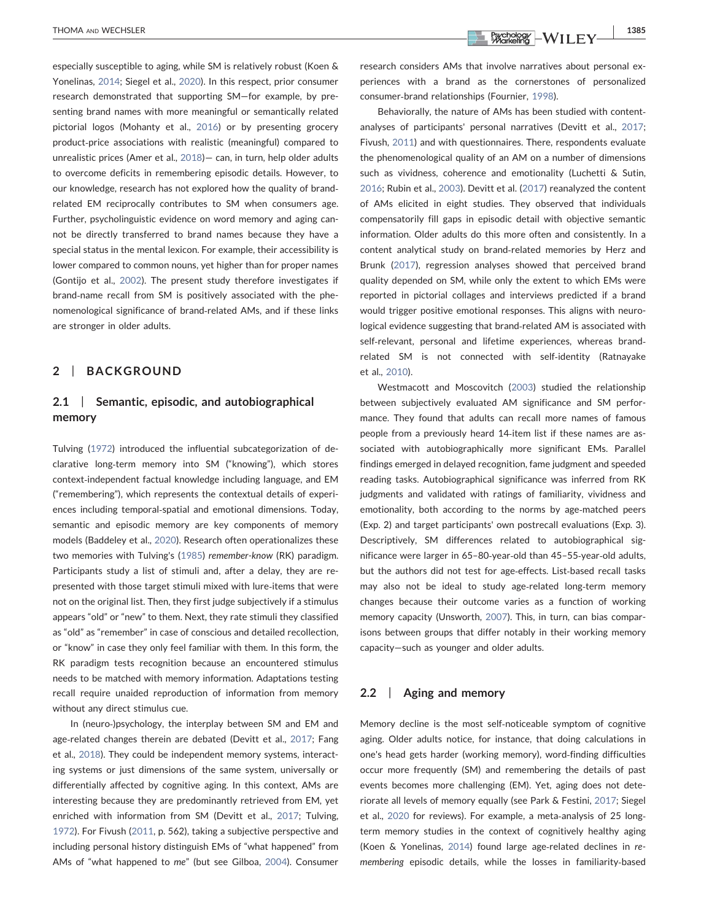especially susceptible to aging, while SM is relatively robust (Koen & Yonelinas, [2014;](#page-6-8) Siegel et al., [2020\)](#page-6-9). In this respect, prior consumer research demonstrated that supporting SM—for example, by presenting brand names with more meaningful or semantically related pictorial logos (Mohanty et al., [2016](#page-6-10)) or by presenting grocery product‐price associations with realistic (meaningful) compared to unrealistic prices (Amer et al., [2018\)](#page-5-1)— can, in turn, help older adults to overcome deficits in remembering episodic details. However, to our knowledge, research has not explored how the quality of brand‐ related EM reciprocally contributes to SM when consumers age. Further, psycholinguistic evidence on word memory and aging cannot be directly transferred to brand names because they have a special status in the mental lexicon. For example, their accessibility is lower compared to common nouns, yet higher than for proper names (Gontijo et al., [2002](#page-6-11)). The present study therefore investigates if brand‐name recall from SM is positively associated with the phenomenological significance of brand‐related AMs, and if these links are stronger in older adults.

# 2 | BACKGROUND

# 2.1 | Semantic, episodic, and autobiographical memory

Tulving ([1972](#page-6-4)) introduced the influential subcategorization of declarative long‐term memory into SM ("knowing"), which stores context‐independent factual knowledge including language, and EM ("remembering"), which represents the contextual details of experiences including temporal‐spatial and emotional dimensions. Today, semantic and episodic memory are key components of memory models (Baddeley et al., [2020\)](#page-5-2). Research often operationalizes these two memories with Tulving's ([1985](#page-6-12)) remember-know (RK) paradigm. Participants study a list of stimuli and, after a delay, they are represented with those target stimuli mixed with lure‐items that were not on the original list. Then, they first judge subjectively if a stimulus appears "old" or "new" to them. Next, they rate stimuli they classified as "old" as "remember" in case of conscious and detailed recollection, or "know" in case they only feel familiar with them. In this form, the RK paradigm tests recognition because an encountered stimulus needs to be matched with memory information. Adaptations testing recall require unaided reproduction of information from memory without any direct stimulus cue.

In (neuro‐)psychology, the interplay between SM and EM and age-related changes therein are debated (Devitt et al., [2017](#page-5-3); Fang et al., [2018](#page-6-13)). They could be independent memory systems, interacting systems or just dimensions of the same system, universally or differentially affected by cognitive aging. In this context, AMs are interesting because they are predominantly retrieved from EM, yet enriched with information from SM (Devitt et al., [2017;](#page-5-3) Tulving, [1972](#page-6-4)). For Fivush ([2011](#page-6-5), p. 562), taking a subjective perspective and including personal history distinguish EMs of "what happened" from AMs of "what happened to me" (but see Gilboa, [2004\)](#page-6-14). Consumer

THOMA AND WECHSLER 1385

research considers AMs that involve narratives about personal experiences with a brand as the cornerstones of personalized consumer‐brand relationships (Fournier, [1998](#page-6-15)).

Behaviorally, the nature of AMs has been studied with content‐ analyses of participants' personal narratives (Devitt et al., [2017;](#page-5-3) Fivush, [2011\)](#page-6-5) and with questionnaires. There, respondents evaluate the phenomenological quality of an AM on a number of dimensions such as vividness, coherence and emotionality (Luchetti & Sutin, [2016;](#page-6-16) Rubin et al., [2003](#page-6-17)). Devitt et al. ([2017](#page-5-3)) reanalyzed the content of AMs elicited in eight studies. They observed that individuals compensatorily fill gaps in episodic detail with objective semantic information. Older adults do this more often and consistently. In a content analytical study on brand‐related memories by Herz and Brunk ([2017](#page-6-6)), regression analyses showed that perceived brand quality depended on SM, while only the extent to which EMs were reported in pictorial collages and interviews predicted if a brand would trigger positive emotional responses. This aligns with neurological evidence suggesting that brand‐related AM is associated with self-relevant, personal and lifetime experiences, whereas brandrelated SM is not connected with self-identity (Ratnayake et al., [2010\)](#page-6-7).

Westmacott and Moscovitch [\(2003](#page-6-3)) studied the relationship between subjectively evaluated AM significance and SM performance. They found that adults can recall more names of famous people from a previously heard 14‐item list if these names are associated with autobiographically more significant EMs. Parallel findings emerged in delayed recognition, fame judgment and speeded reading tasks. Autobiographical significance was inferred from RK judgments and validated with ratings of familiarity, vividness and emotionality, both according to the norms by age-matched peers (Exp. 2) and target participants' own postrecall evaluations (Exp. 3). Descriptively, SM differences related to autobiographical significance were larger in 65–80‐year‐old than 45–55‐year‐old adults, but the authors did not test for age‐effects. List‐based recall tasks may also not be ideal to study age-related long-term memory changes because their outcome varies as a function of working memory capacity (Unsworth, [2007](#page-6-18)). This, in turn, can bias comparisons between groups that differ notably in their working memory capacity—such as younger and older adults.

## 2.2 | Aging and memory

Memory decline is the most self‐noticeable symptom of cognitive aging. Older adults notice, for instance, that doing calculations in one's head gets harder (working memory), word‐finding difficulties occur more frequently (SM) and remembering the details of past events becomes more challenging (EM). Yet, aging does not deteriorate all levels of memory equally (see Park & Festini, [2017;](#page-6-19) Siegel et al., [2020](#page-6-9) for reviews). For example, a meta‐analysis of 25 long‐ term memory studies in the context of cognitively healthy aging (Koen & Yonelinas, [2014](#page-6-8)) found large age‐related declines in remembering episodic details, while the losses in familiarity‐based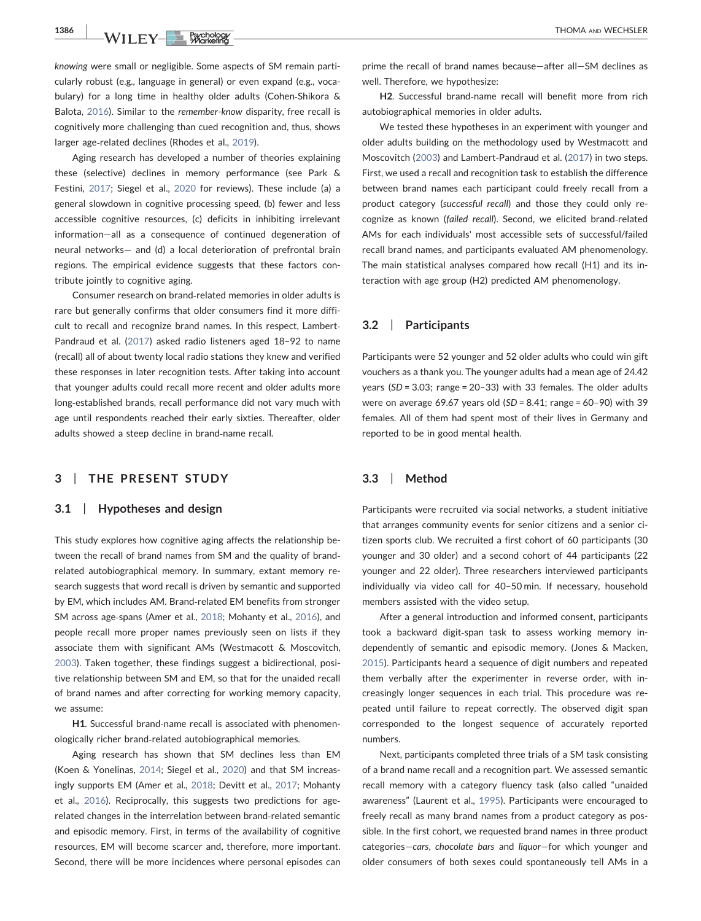**1386 | WILEY-BEXCHOLOGY | THOMA** AND WECHSLER

knowing were small or negligible. Some aspects of SM remain particularly robust (e.g., language in general) or even expand (e.g., vocabulary) for a long time in healthy older adults (Cohen‐Shikora & Balota, [2016](#page-5-4)). Similar to the remember‐know disparity, free recall is cognitively more challenging than cued recognition and, thus, shows larger age‐related declines (Rhodes et al., [2019\)](#page-6-20).

Aging research has developed a number of theories explaining these (selective) declines in memory performance (see Park & Festini, [2017](#page-6-19); Siegel et al., [2020](#page-6-9) for reviews). These include (a) a general slowdown in cognitive processing speed, (b) fewer and less accessible cognitive resources, (c) deficits in inhibiting irrelevant information—all as a consequence of continued degeneration of neural networks— and (d) a local deterioration of prefrontal brain regions. The empirical evidence suggests that these factors contribute jointly to cognitive aging.

Consumer research on brand‐related memories in older adults is rare but generally confirms that older consumers find it more difficult to recall and recognize brand names. In this respect, Lambert-Pandraud et al. [\(2017](#page-6-21)) asked radio listeners aged 18–92 to name (recall) all of about twenty local radio stations they knew and verified these responses in later recognition tests. After taking into account that younger adults could recall more recent and older adults more long‐established brands, recall performance did not vary much with age until respondents reached their early sixties. Thereafter, older adults showed a steep decline in brand‐name recall.

# 3 | THE PRESENT STUDY

#### 3.1 | Hypotheses and design

This study explores how cognitive aging affects the relationship between the recall of brand names from SM and the quality of brand‐ related autobiographical memory. In summary, extant memory research suggests that word recall is driven by semantic and supported by EM, which includes AM. Brand‐related EM benefits from stronger SM across age-spans (Amer et al., [2018](#page-5-1); Mohanty et al., [2016](#page-6-10)), and people recall more proper names previously seen on lists if they associate them with significant AMs (Westmacott & Moscovitch, [2003](#page-6-3)). Taken together, these findings suggest a bidirectional, positive relationship between SM and EM, so that for the unaided recall of brand names and after correcting for working memory capacity, we assume:

H1. Successful brand-name recall is associated with phenomenologically richer brand‐related autobiographical memories.

Aging research has shown that SM declines less than EM (Koen & Yonelinas, [2014;](#page-6-8) Siegel et al., [2020](#page-6-9)) and that SM increasingly supports EM (Amer et al., [2018;](#page-5-1) Devitt et al., [2017](#page-5-3); Mohanty et al., [2016\)](#page-6-10). Reciprocally, this suggests two predictions for age‐ related changes in the interrelation between brand‐related semantic and episodic memory. First, in terms of the availability of cognitive resources, EM will become scarcer and, therefore, more important. Second, there will be more incidences where personal episodes can prime the recall of brand names because—after all—SM declines as well. Therefore, we hypothesize:

H2. Successful brand‐name recall will benefit more from rich autobiographical memories in older adults.

We tested these hypotheses in an experiment with younger and older adults building on the methodology used by Westmacott and Moscovitch [\(2003\)](#page-6-3) and Lambert‐Pandraud et al. [\(2017\)](#page-6-21) in two steps. First, we used a recall and recognition task to establish the difference between brand names each participant could freely recall from a product category (successful recall) and those they could only recognize as known (failed recall). Second, we elicited brand‐related AMs for each individuals' most accessible sets of successful/failed recall brand names, and participants evaluated AM phenomenology. The main statistical analyses compared how recall (H1) and its interaction with age group (H2) predicted AM phenomenology.

## 3.2 | Participants

Participants were 52 younger and 52 older adults who could win gift vouchers as a thank you. The younger adults had a mean age of 24.42 years (SD = 3.03; range = 20–33) with 33 females. The older adults were on average 69.67 years old  $(SD = 8.41;$  range = 60-90) with 39 females. All of them had spent most of their lives in Germany and reported to be in good mental health.

# 3.3 | Method

Participants were recruited via social networks, a student initiative that arranges community events for senior citizens and a senior citizen sports club. We recruited a first cohort of 60 participants (30 younger and 30 older) and a second cohort of 44 participants (22 younger and 22 older). Three researchers interviewed participants individually via video call for 40–50 min. If necessary, household members assisted with the video setup.

After a general introduction and informed consent, participants took a backward digit‐span task to assess working memory independently of semantic and episodic memory. (Jones & Macken, [2015](#page-6-22)). Participants heard a sequence of digit numbers and repeated them verbally after the experimenter in reverse order, with increasingly longer sequences in each trial. This procedure was repeated until failure to repeat correctly. The observed digit span corresponded to the longest sequence of accurately reported numbers.

Next, participants completed three trials of a SM task consisting of a brand name recall and a recognition part. We assessed semantic recall memory with a category fluency task (also called "unaided awareness" (Laurent et al., [1995](#page-6-23)). Participants were encouraged to freely recall as many brand names from a product category as possible. In the first cohort, we requested brand names in three product categories—cars, chocolate bars and liquor—for which younger and older consumers of both sexes could spontaneously tell AMs in a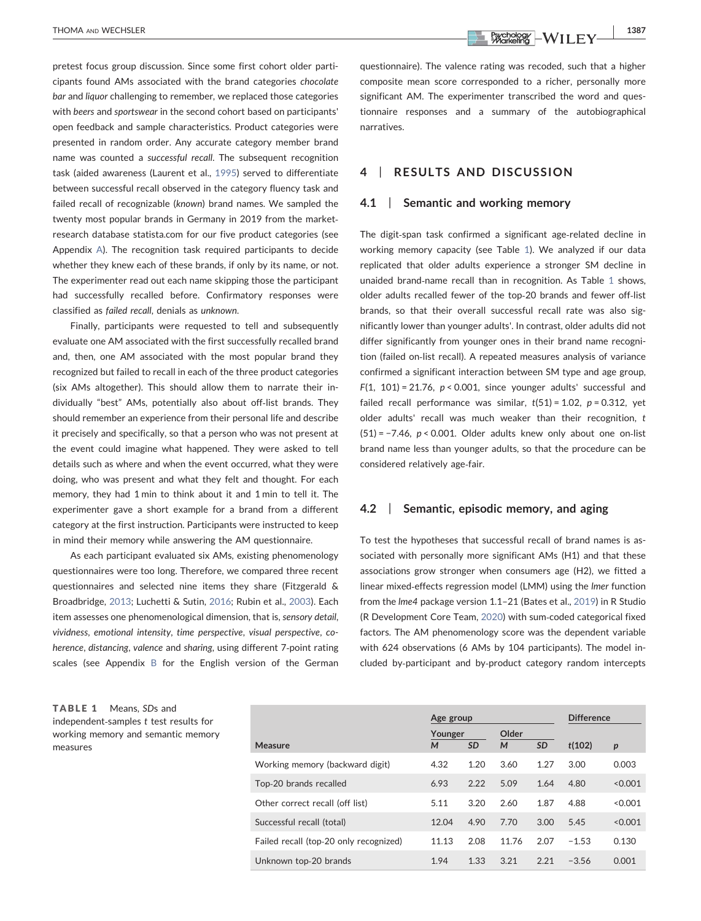pretest focus group discussion. Since some first cohort older participants found AMs associated with the brand categories chocolate bar and liquor challenging to remember, we replaced those categories with beers and sportswear in the second cohort based on participants' open feedback and sample characteristics. Product categories were presented in random order. Any accurate category member brand name was counted a successful recall. The subsequent recognition task (aided awareness (Laurent et al., [1995](#page-6-23)) served to differentiate between successful recall observed in the category fluency task and failed recall of recognizable (known) brand names. We sampled the twenty most popular brands in Germany in 2019 from the marketresearch database statista.com for our five product categories (see Appendix [A](#page-7-0)). The recognition task required participants to decide whether they knew each of these brands, if only by its name, or not. The experimenter read out each name skipping those the participant had successfully recalled before. Confirmatory responses were classified as failed recall, denials as unknown.

Finally, participants were requested to tell and subsequently evaluate one AM associated with the first successfully recalled brand and, then, one AM associated with the most popular brand they recognized but failed to recall in each of the three product categories (six AMs altogether). This should allow them to narrate their individually "best" AMs, potentially also about off‐list brands. They should remember an experience from their personal life and describe it precisely and specifically, so that a person who was not present at the event could imagine what happened. They were asked to tell details such as where and when the event occurred, what they were doing, who was present and what they felt and thought. For each memory, they had 1 min to think about it and 1 min to tell it. The experimenter gave a short example for a brand from a different category at the first instruction. Participants were instructed to keep in mind their memory while answering the AM questionnaire.

As each participant evaluated six AMs, existing phenomenology questionnaires were too long. Therefore, we compared three recent questionnaires and selected nine items they share (Fitzgerald & Broadbridge, [2013](#page-6-24); Luchetti & Sutin, [2016](#page-6-16); Rubin et al., [2003](#page-6-17)). Each item assesses one phenomenological dimension, that is, sensory detail, vividness, emotional intensity, time perspective, visual perspective, coherence, distancing, valence and sharing, using different 7‐point rating scales (see Appendix [B](#page-8-0) for the English version of the German

THOMA AND WECHSLER 1387

questionnaire). The valence rating was recoded, such that a higher composite mean score corresponded to a richer, personally more significant AM. The experimenter transcribed the word and questionnaire responses and a summary of the autobiographical narratives.

# 4 | RESULTS AND DISCUSSION

#### 4.1 | Semantic and working memory

The digit-span task confirmed a significant age-related decline in working memory capacity (see Table [1](#page-3-0)). We analyzed if our data replicated that older adults experience a stronger SM decline in unaided brand‐name recall than in recognition. As Table [1](#page-3-0) shows, older adults recalled fewer of the top‐20 brands and fewer off‐list brands, so that their overall successful recall rate was also significantly lower than younger adults'. In contrast, older adults did not differ significantly from younger ones in their brand name recognition (failed on‐list recall). A repeated measures analysis of variance confirmed a significant interaction between SM type and age group, F(1, 101) = 21.76,  $p < 0.001$ , since younger adults' successful and failed recall performance was similar,  $t(51) = 1.02$ ,  $p = 0.312$ , yet older adults' recall was much weaker than their recognition, t  $(51) = -7.46$ ,  $p < 0.001$ . Older adults knew only about one on-list brand name less than younger adults, so that the procedure can be considered relatively age-fair.

#### 4.2 | Semantic, episodic memory, and aging

To test the hypotheses that successful recall of brand names is associated with personally more significant AMs (H1) and that these associations grow stronger when consumers age (H2), we fitted a linear mixed‐effects regression model (LMM) using the lmer function from the lme4 package version 1.1–21 (Bates et al., [2019](#page-5-5)) in R Studio (R Development Core Team, [2020](#page-6-25)) with sum‐coded categorical fixed factors. The AM phenomenology score was the dependent variable with 624 observations (6 AMs by 104 participants). The model included by‐participant and by‐product category random intercepts

<span id="page-3-0"></span>TABLE 1 Means, SDs and independent‐samples t test results for working memory and semantic memory measures

|                                        | Age group    |           |            | <b>Difference</b> |         |                  |
|----------------------------------------|--------------|-----------|------------|-------------------|---------|------------------|
| Measure                                | Younger<br>M | <b>SD</b> | Older<br>M | <b>SD</b>         | t(102)  | $\boldsymbol{p}$ |
| Working memory (backward digit)        | 4.32         | 1.20      | 3.60       | 1.27              | 3.00    | 0.003            |
| Top-20 brands recalled                 | 6.93         | 2.22      | 5.09       | 1.64              | 4.80    | < 0.001          |
| Other correct recall (off list)        | 5.11         | 3.20      | 2.60       | 1.87              | 4.88    | < 0.001          |
| Successful recall (total)              | 12.04        | 4.90      | 7.70       | 3.00              | 5.45    | < 0.001          |
| Failed recall (top-20 only recognized) | 11.13        | 2.08      | 11.76      | 2.07              | $-1.53$ | 0.130            |
| Unknown top-20 brands                  | 1.94         | 1.33      | 3.21       | 2.21              | $-3.56$ | 0.001            |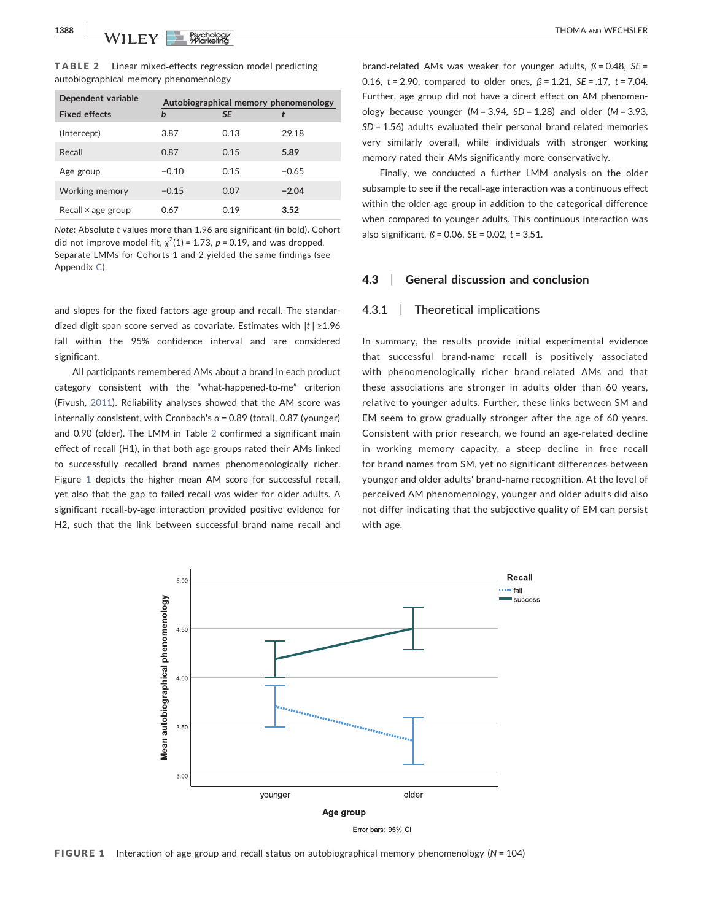1388 | WILEY-BECHOLOGY | RECORD | THOMA AND WECHSLER

<span id="page-4-0"></span>TABLE 2 Linear mixed‐effects regression model predicting autobiographical memory phenomenology

| Dependent variable        | Autobiographical memory phenomenology |           |         |  |
|---------------------------|---------------------------------------|-----------|---------|--|
| <b>Fixed effects</b>      | b                                     | <b>SE</b> |         |  |
| (Intercept)               | 3.87                                  | 0.13      | 29.18   |  |
| Recall                    | 0.87                                  | 0.15      | 5.89    |  |
| Age group                 | $-0.10$                               | 0.15      | $-0.65$ |  |
| Working memory            | $-0.15$                               | 0.07      | $-2.04$ |  |
| Recall $\times$ age group | 0.67                                  | 0.19      | 3.52    |  |

Note: Absolute t values more than 1.96 are significant (in bold). Cohort did not improve model fit,  $\chi^2(1)$  = 1.73, p = 0.19, and was dropped. Separate LMMs for Cohorts 1 and 2 yielded the same findings (see Appendix [C\)](#page-8-1).

and slopes for the fixed factors age group and recall. The standardized digit-span score served as covariate. Estimates with  $|t| \ge 1.96$ fall within the 95% confidence interval and are considered significant.

All participants remembered AMs about a brand in each product category consistent with the "what‐happened‐to‐me" criterion (Fivush, [2011](#page-6-5)). Reliability analyses showed that the AM score was internally consistent, with Cronbach's  $\alpha$  = 0.89 (total), 0.87 (younger) and 0.90 (older). The LMM in Table [2](#page-4-0) confirmed a significant main effect of recall (H1), in that both age groups rated their AMs linked to successfully recalled brand names phenomenologically richer. Figure [1](#page-4-1) depicts the higher mean AM score for successful recall, yet also that the gap to failed recall was wider for older adults. A significant recall‐by‐age interaction provided positive evidence for H2, such that the link between successful brand name recall and brand-related AMs was weaker for younger adults,  $\beta$  = 0.48, SE = 0.16,  $t = 2.90$ , compared to older ones,  $\beta = 1.21$ ,  $SE = .17$ ,  $t = 7.04$ . Further, age group did not have a direct effect on AM phenomenology because younger ( $M = 3.94$ ,  $SD = 1.28$ ) and older ( $M = 3.93$ , SD = 1.56) adults evaluated their personal brand‐related memories very similarly overall, while individuals with stronger working memory rated their AMs significantly more conservatively.

Finally, we conducted a further LMM analysis on the older subsample to see if the recall‐age interaction was a continuous effect within the older age group in addition to the categorical difference when compared to younger adults. This continuous interaction was also significant,  $\beta$  = 0.06, *SE* = 0.02, *t* = 3.51.

# 4.3 | General discussion and conclusion

#### 4.3.1 | Theoretical implications

In summary, the results provide initial experimental evidence that successful brand‐name recall is positively associated with phenomenologically richer brand‐related AMs and that these associations are stronger in adults older than 60 years, relative to younger adults. Further, these links between SM and EM seem to grow gradually stronger after the age of 60 years. Consistent with prior research, we found an age‐related decline in working memory capacity, a steep decline in free recall for brand names from SM, yet no significant differences between younger and older adults' brand‐name recognition. At the level of perceived AM phenomenology, younger and older adults did also not differ indicating that the subjective quality of EM can persist with age.

<span id="page-4-1"></span>

**FIGURE 1** Interaction of age group and recall status on autobiographical memory phenomenology ( $N = 104$ )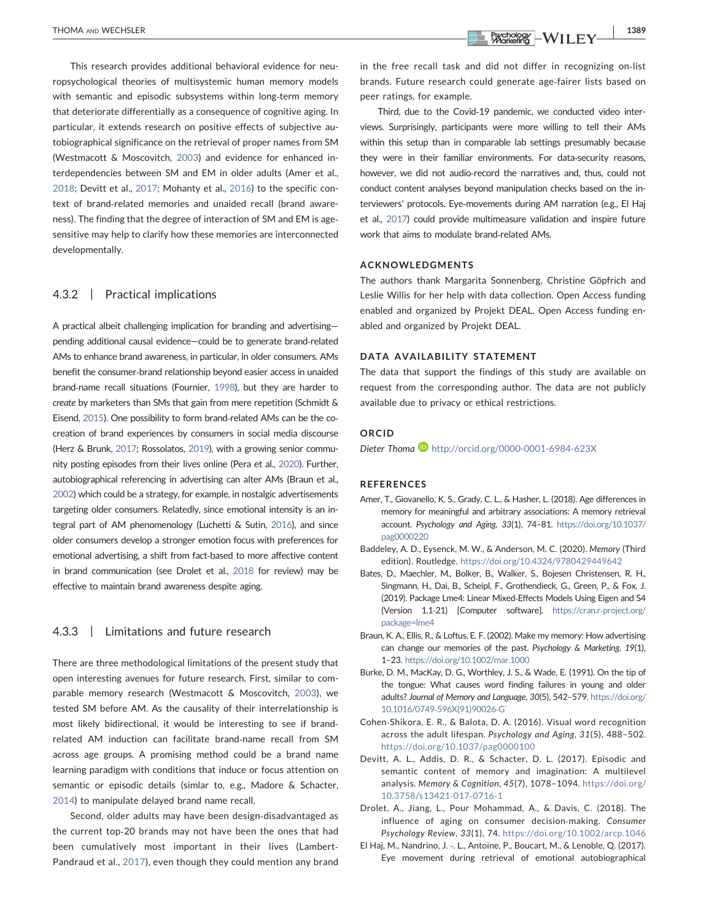This research provides additional behavioral evidence for neuropsychological theories of multisystemic human memory models with semantic and episodic subsystems within long-term memory that deteriorate differentially as a consequence of cognitive aging. In particular, it extends research on positive effects of subjective autobiographical significance on the retrieval of proper names from SM (Westmacott & Moscovitch, [2003\)](#page-6-3) and evidence for enhanced interdependencies between SM and EM in older adults (Amer et al., [2018](#page-5-1); Devitt et al., [2017;](#page-5-3) Mohanty et al., [2016\)](#page-6-10) to the specific context of brand‐related memories and unaided recall (brand awareness). The finding that the degree of interaction of SM and EM is agesensitive may help to clarify how these memories are interconnected developmentally.

# 4.3.2 | Practical implications

A practical albeit challenging implication for branding and advertising pending additional causal evidence—could be to generate brand‐related AMs to enhance brand awareness, in particular, in older consumers. AMs benefit the consumer‐brand relationship beyond easier access in unaided brand‐name recall situations (Fournier, [1998](#page-6-15)), but they are harder to create by marketers than SMs that gain from mere repetition (Schmidt & Eisend, [2015](#page-6-26)). One possibility to form brand-related AMs can be the cocreation of brand experiences by consumers in social media discourse (Herz & Brunk, [2017;](#page-6-6) Rossolatos, [2019\)](#page-6-27), with a growing senior community posting episodes from their lives online (Pera et al., [2020](#page-6-28)). Further, autobiographical referencing in advertising can alter AMs (Braun et al., [2002](#page-5-6)) which could be a strategy, for example, in nostalgic advertisements targeting older consumers. Relatedly, since emotional intensity is an integral part of AM phenomenology (Luchetti & Sutin, [2016\)](#page-6-16), and since older consumers develop a stronger emotion focus with preferences for emotional advertising, a shift from fact-based to more affective content in brand communication (see Drolet et al., [2018](#page-5-7) for review) may be effective to maintain brand awareness despite aging.

## 4.3.3 | Limitations and future research

There are three methodological limitations of the present study that open interesting avenues for future research. First, similar to comparable memory research (Westmacott & Moscovitch, [2003\)](#page-6-3), we tested SM before AM. As the causality of their interrelationship is most likely bidirectional, it would be interesting to see if brand‐ related AM induction can facilitate brand‐name recall from SM across age groups. A promising method could be a brand name learning paradigm with conditions that induce or focus attention on semantic or episodic details (simlar to, e.g., Madore & Schacter, [2014](#page-6-29)) to manipulate delayed brand name recall.

Second, older adults may have been design-disadvantaged as the current top‐20 brands may not have been the ones that had been cumulatively most important in their lives (Lambert-Pandraud et al., [2017\)](#page-6-21), even though they could mention any brand

in the free recall task and did not differ in recognizing on‐list brands. Future research could generate age‐fairer lists based on peer ratings, for example.

Third, due to the Covid‐19 pandemic, we conducted video interviews. Surprisingly, participants were more willing to tell their AMs within this setup than in comparable lab settings presumably because they were in their familiar environments. For data‐security reasons, however, we did not audio‐record the narratives and, thus, could not conduct content analyses beyond manipulation checks based on the interviewers' protocols. Eye‐movements during AM narration (e.g., El Haj et al., [2017\)](#page-5-8) could provide multimeasure validation and inspire future work that aims to modulate brand‐related AMs.

#### ACKNOWLEDGMENTS

The authors thank Margarita Sonnenberg, Christine Göpfrich and Leslie Willis for her help with data collection. Open Access funding enabled and organized by Projekt DEAL. Open Access funding enabled and organized by Projekt DEAL.

#### DATA AVAILABILITY STATEMENT

The data that support the findings of this study are available on request from the corresponding author. The data are not publicly available due to privacy or ethical restrictions.

#### ORCID

Dieter Thoma  $\blacksquare$  <http://orcid.org/0000-0001-6984-623X>

#### REFERENCES

- <span id="page-5-1"></span>Amer, T., Giovanello, K. S., Grady, C. L., & Hasher, L. (2018). Age differences in memory for meaningful and arbitrary associations: A memory retrieval account. Psychology and Aging, 33(1), 74–81. [https://doi.org/10.1037/](https://doi.org/10.1037/pag0000220) [pag0000220](https://doi.org/10.1037/pag0000220)
- <span id="page-5-2"></span>Baddeley, A. D., Eysenck, M. W., & Anderson, M. C. (2020). Memory (Third edition). Routledge. <https://doi.org/10.4324/9780429449642>
- <span id="page-5-5"></span>Bates, D., Maechler, M., Bolker, B., Walker, S., Bojesen Christensen, R. H., Singmann, H., Dai, B., Scheipl, F., Grothendieck, G., Green, P., & Fox, J. (2019). Package Lme4: Linear Mixed‐Effects Models Using Eigen and S4 (Version 1.1‐21) [Computer software]. [https://cran.r](https://cran.r-project.org/package=lme4)‐project.org/ [package=lme4](https://cran.r-project.org/package=lme4)
- <span id="page-5-6"></span>Braun, K. A., Ellis, R., & Loftus, E. F. (2002). Make my memory: How advertising can change our memories of the past. Psychology & Marketing, 19(1), 1–23. <https://doi.org/10.1002/mar.1000>
- <span id="page-5-0"></span>Burke, D. M., MacKay, D. G., Worthley, J. S., & Wade, E. (1991). On the tip of the tongue: What causes word finding failures in young and older adults? Journal of Memory and Language, 30(5), 542–579. [https://doi.org/](https://doi.org/10.1016/0749-596X(91)90026-G) 10.1016/0749‐[596X\(91\)90026](https://doi.org/10.1016/0749-596X(91)90026-G)‐G`
- <span id="page-5-4"></span>Cohen‐Shikora, E. R., & Balota, D. A. (2016). Visual word recognition across the adult lifespan. Psychology and Aging, 31(5), 488–502. <https://doi.org/10.1037/pag0000100>
- <span id="page-5-3"></span>Devitt, A. L., Addis, D. R., & Schacter, D. L. (2017). Episodic and semantic content of memory and imagination: A multilevel analysis. Memory & Cognition, 45(7), 1078–1094. [https://doi.org/](https://doi.org/10.3758/s13421-017-0716-1) [10.3758/s13421](https://doi.org/10.3758/s13421-017-0716-1)‐017‐0716‐1
- <span id="page-5-7"></span>Drolet, A., Jiang, L., Pour Mohammad, A., & Davis, C. (2018). The influence of aging on consumer decision‐making. Consumer Psychology Review, 33(1), 74. <https://doi.org/10.1002/arcp.1046>
- <span id="page-5-8"></span>El Haj, M., Nandrino, J. ‑. L., Antoine, P., Boucart, M., & Lenoble, Q. (2017). Eye movement during retrieval of emotional autobiographical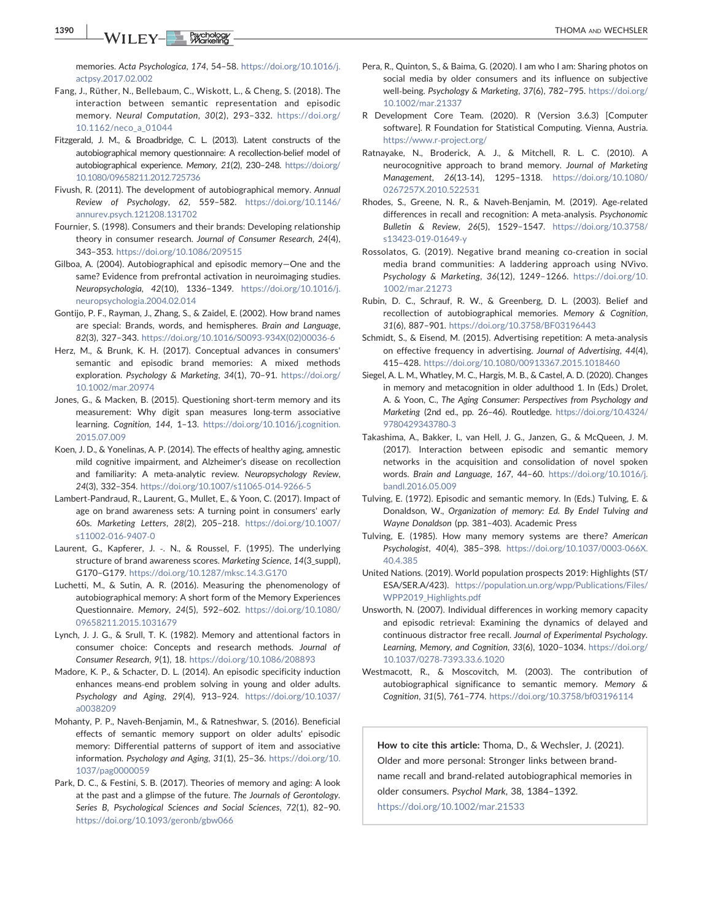1390 | WILEY-BUCHSLER

memories. Acta Psychologica, 174, 54–58. [https://doi.org/10.1016/j.](https://doi.org/10.1016/j.actpsy.2017.02.002) [actpsy.2017.02.002](https://doi.org/10.1016/j.actpsy.2017.02.002)

- <span id="page-6-13"></span>Fang, J., Rüther, N., Bellebaum, C., Wiskott, L., & Cheng, S. (2018). The interaction between semantic representation and episodic memory. Neural Computation, 30(2), 293–332. [https://doi.org/](https://doi.org/10.1162/neco_a_01044) [10.1162/neco\\_a\\_01044](https://doi.org/10.1162/neco_a_01044)
- <span id="page-6-24"></span>Fitzgerald, J. M., & Broadbridge, C. L. (2013). Latent constructs of the autobiographical memory questionnaire: A recollection‐belief model of autobiographical experience. Memory, 21(2), 230–248. [https://doi.org/](https://doi.org/10.1080/09658211.2012.725736) [10.1080/09658211.2012.725736](https://doi.org/10.1080/09658211.2012.725736)
- <span id="page-6-5"></span>Fivush, R. (2011). The development of autobiographical memory. Annual Review of Psychology, 62, 559–582. [https://doi.org/10.1146/](https://doi.org/10.1146/annurev.psych.121208.131702) [annurev.psych.121208.131702](https://doi.org/10.1146/annurev.psych.121208.131702)
- <span id="page-6-15"></span>Fournier, S. (1998). Consumers and their brands: Developing relationship theory in consumer research. Journal of Consumer Research, 24(4), 343–353. <https://doi.org/10.1086/209515>
- <span id="page-6-14"></span>Gilboa, A. (2004). Autobiographical and episodic memory—One and the same? Evidence from prefrontal activation in neuroimaging studies. Neuropsychologia, 42(10), 1336–1349. [https://doi.org/10.1016/j.](https://doi.org/10.1016/j.neuropsychologia.2004.02.014) [neuropsychologia.2004.02.014](https://doi.org/10.1016/j.neuropsychologia.2004.02.014)
- <span id="page-6-11"></span>Gontijo, P. F., Rayman, J., Zhang, S., & Zaidel, E. (2002). How brand names are special: Brands, words, and hemispheres. Brain and Language, 82(3), 327–343. [https://doi.org/10.1016/S0093](https://doi.org/10.1016/S0093-934X(02)00036-6)‐934X(02)00036‐6
- <span id="page-6-6"></span>Herz, M., & Brunk, K. H. (2017). Conceptual advances in consumers' semantic and episodic brand memories: A mixed methods exploration. Psychology & Marketing, 34(1), 70–91. [https://doi.org/](https://doi.org/10.1002/mar.20974) [10.1002/mar.20974](https://doi.org/10.1002/mar.20974)
- <span id="page-6-22"></span>Jones, G., & Macken, B. (2015). Questioning short‐term memory and its measurement: Why digit span measures long‐term associative learning. Cognition, 144, 1–13. [https://doi.org/10.1016/j.cognition.](https://doi.org/10.1016/j.cognition.2015.07.009) [2015.07.009](https://doi.org/10.1016/j.cognition.2015.07.009)
- <span id="page-6-8"></span>Koen, J. D., & Yonelinas, A. P. (2014). The effects of healthy aging, amnestic mild cognitive impairment, and Alzheimer's disease on recollection and familiarity: A meta-analytic review. Neuropsychology Review, 24(3), 332–354. [https://doi.org/10.1007/s11065](https://doi.org/10.1007/s11065-014-9266-5)‐014‐9266‐5
- <span id="page-6-21"></span>Lambert‐Pandraud, R., Laurent, G., Mullet, E., & Yoon, C. (2017). Impact of age on brand awareness sets: A turning point in consumers' early 60s. Marketing Letters, 28(2), 205–218. [https://doi.org/10.1007/](https://doi.org/10.1007/s11002-016-9407-0) [s11002](https://doi.org/10.1007/s11002-016-9407-0)‐016‐9407‐0
- <span id="page-6-23"></span>Laurent, G., Kapferer, J. -. N., & Roussel, F. (1995). The underlying structure of brand awareness scores. Marketing Science, 14(3\_suppl), G170–G179. <https://doi.org/10.1287/mksc.14.3.G170>
- <span id="page-6-16"></span>Luchetti, M., & Sutin, A. R. (2016). Measuring the phenomenology of autobiographical memory: A short form of the Memory Experiences Questionnaire. Memory, 24(5), 592–602. [https://doi.org/10.1080/](https://doi.org/10.1080/09658211.2015.1031679) [09658211.2015.1031679](https://doi.org/10.1080/09658211.2015.1031679)
- <span id="page-6-0"></span>Lynch, J. J. G., & Srull, T. K. (1982). Memory and attentional factors in consumer choice: Concepts and research methods. Journal of Consumer Research, 9(1), 18. <https://doi.org/10.1086/208893>
- <span id="page-6-29"></span>Madore, K. P., & Schacter, D. L. (2014). An episodic specificity induction enhances means‐end problem solving in young and older adults. Psychology and Aging, 29(4), 913–924. [https://doi.org/10.1037/](https://doi.org/10.1037/a0038209) [a0038209](https://doi.org/10.1037/a0038209)
- <span id="page-6-10"></span>Mohanty, P. P., Naveh‐Benjamin, M., & Ratneshwar, S. (2016). Beneficial effects of semantic memory support on older adults' episodic memory: Differential patterns of support of item and associative information. Psychology and Aging, 31(1), 25–36. [https://doi.org/10.](https://doi.org/10.1037/pag0000059) [1037/pag0000059](https://doi.org/10.1037/pag0000059)
- <span id="page-6-19"></span>Park, D. C., & Festini, S. B. (2017). Theories of memory and aging: A look at the past and a glimpse of the future. The Journals of Gerontology. Series B, Psychological Sciences and Social Sciences, 72(1), 82–90. <https://doi.org/10.1093/geronb/gbw066>
- <span id="page-6-28"></span>Pera, R., Quinton, S., & Baima, G. (2020). I am who I am: Sharing photos on social media by older consumers and its influence on subjective well-being. Psychology & Marketing, 37(6), 782-795. [https://doi.org/](https://doi.org/10.1002/mar.21337) [10.1002/mar.21337](https://doi.org/10.1002/mar.21337)
- <span id="page-6-25"></span>R Development Core Team. (2020). R (Version 3.6.3) [Computer software]. R Foundation for Statistical Computing. Vienna, Austria. [https://www.r](https://www.r-project.org/)‐project.org/
- <span id="page-6-7"></span>Ratnayake, N., Broderick, A. J., & Mitchell, R. L. C. (2010). A neurocognitive approach to brand memory. Journal of Marketing Management, 26(13‐14), 1295–1318. [https://doi.org/10.1080/](https://doi.org/10.1080/0267257X.2010.522531) [0267257X.2010.522531](https://doi.org/10.1080/0267257X.2010.522531)
- <span id="page-6-20"></span>Rhodes, S., Greene, N. R., & Naveh‐Benjamin, M. (2019). Age‐related differences in recall and recognition: A meta‐analysis. Psychonomic Bulletin & Review, 26(5), 1529–1547. [https://doi.org/10.3758/](https://doi.org/10.3758/s13423-019-01649-y) [s13423](https://doi.org/10.3758/s13423-019-01649-y)‐019‐01649‐y
- <span id="page-6-27"></span>Rossolatos, G. (2019). Negative brand meaning co‐creation in social media brand communities: A laddering approach using NVivo. Psychology & Marketing, 36(12), 1249–1266. [https://doi.org/10.](https://doi.org/10.1002/mar.21273) [1002/mar.21273](https://doi.org/10.1002/mar.21273)
- <span id="page-6-17"></span>Rubin, D. C., Schrauf, R. W., & Greenberg, D. L. (2003). Belief and recollection of autobiographical memories. Memory & Cognition, 31(6), 887–901. <https://doi.org/10.3758/BF03196443>
- <span id="page-6-26"></span>Schmidt, S., & Eisend, M. (2015). Advertising repetition: A meta‐analysis on effective frequency in advertising. Journal of Advertising, 44(4), 415–428. <https://doi.org/10.1080/00913367.2015.1018460>
- <span id="page-6-9"></span>Siegel, A. L. M., Whatley, M. C., Hargis, M. B., & Castel, A. D. (2020). Changes in memory and metacognition in older adulthood 1. In (Eds.) Drolet, A. & Yoon, C., The Aging Consumer: Perspectives from Psychology and Marketing (2nd ed., pp. 26–46). Routledge. [https://doi.org/10.4324/](https://doi.org/10.4324/9780429343780-3) [9780429343780](https://doi.org/10.4324/9780429343780-3)‐3
- <span id="page-6-2"></span>Takashima, A., Bakker, I., van Hell, J. G., Janzen, G., & McQueen, J. M. (2017). Interaction between episodic and semantic memory networks in the acquisition and consolidation of novel spoken words. Brain and Language, 167, 44–60. [https://doi.org/10.1016/j.](https://doi.org/10.1016/j.bandl.2016.05.009) [bandl.2016.05.009](https://doi.org/10.1016/j.bandl.2016.05.009)
- <span id="page-6-4"></span>Tulving, E. (1972). Episodic and semantic memory. In (Eds.) Tulving, E. & Donaldson, W., Organization of memory: Ed. By Endel Tulving and Wayne Donaldson (pp. 381–403). Academic Press
- <span id="page-6-12"></span>Tulving, E. (1985). How many memory systems are there? American Psychologist, 40(4), 385–398. [https://doi.org/10.1037/0003](https://doi.org/10.1037/0003-066X.40.4.385)‐066X. [40.4.385](https://doi.org/10.1037/0003-066X.40.4.385)
- <span id="page-6-1"></span>United Nations. (2019). World population prospects 2019: Highlights (ST/ ESA/SER.A/423). [https://population.un.org/wpp/Publications/Files/](https://population.un.org/wpp/Publications/Files/WPP2019_Highlights.pdf) WPP2019 Highlights.pdf
- <span id="page-6-18"></span>Unsworth, N. (2007). Individual differences in working memory capacity and episodic retrieval: Examining the dynamics of delayed and continuous distractor free recall. Journal of Experimental Psychology. Learning, Memory, and Cognition, 33(6), 1020–1034. [https://doi.org/](https://doi.org/10.1037/0278-7393.33.6.1020) 10.1037/0278‐[7393.33.6.1020](https://doi.org/10.1037/0278-7393.33.6.1020)
- <span id="page-6-3"></span>Westmacott, R., & Moscovitch, M. (2003). The contribution of autobiographical significance to semantic memory. Memory & Cognition, 31(5), 761–774. <https://doi.org/10.3758/bf03196114>

How to cite this article: Thoma, D., & Wechsler, J. (2021). Older and more personal: Stronger links between brand‐ name recall and brand‐related autobiographical memories in older consumers. Psychol Mark, 38, 1384–1392. <https://doi.org/10.1002/mar.21533>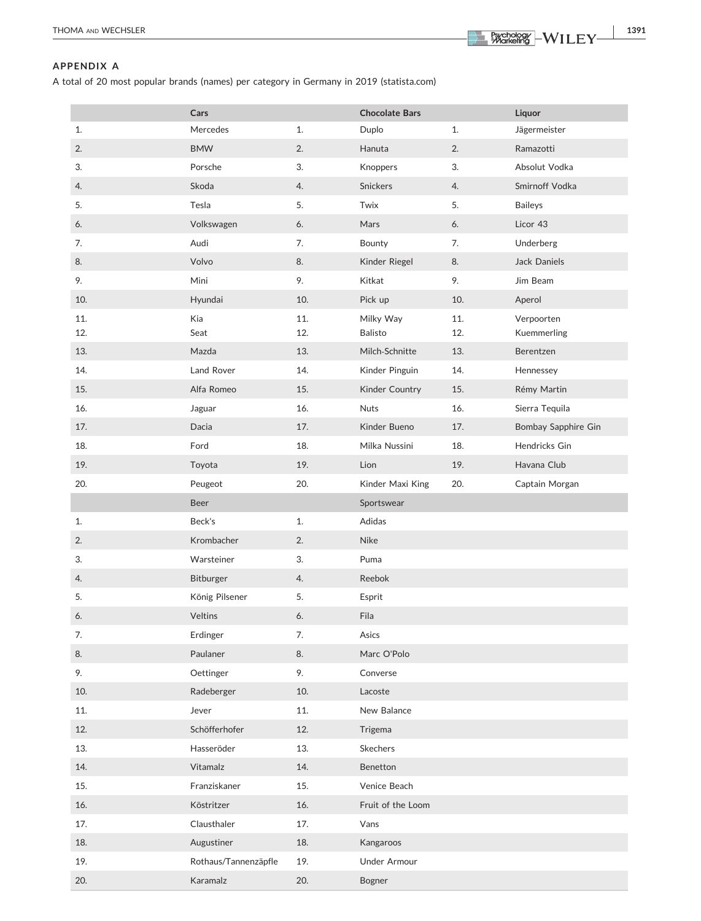THOMA AND WECHSLER **1391**<br> **THOMA** AND WECHSLER **1391** 

# <span id="page-7-0"></span>APPENDIX A

A total of 20 most popular brands (names) per category in Germany in 2019 (statista.com)

|            | Cars                 |            | <b>Chocolate Bars</b>       |            | Liquor                    |
|------------|----------------------|------------|-----------------------------|------------|---------------------------|
| 1.         | Mercedes             | 1.         | Duplo                       | 1.         | Jägermeister              |
| 2.         | <b>BMW</b>           | 2.         | Hanuta                      | 2.         | Ramazotti                 |
| 3.         | Porsche              | 3.         | Knoppers                    | 3.         | Absolut Vodka             |
| 4.         | Skoda                | 4.         | <b>Snickers</b>             | 4.         | Smirnoff Vodka            |
| 5.         | Tesla                | 5.         | Twix                        | 5.         | <b>Baileys</b>            |
| 6.         | Volkswagen           | 6.         | Mars                        | 6.         | Licor 43                  |
| 7.         | Audi                 | 7.         | Bounty                      | 7.         | Underberg                 |
| 8.         | Volvo                | 8.         | Kinder Riegel               | 8.         | Jack Daniels              |
| 9.         | Mini                 | 9.         | Kitkat                      | 9.         | Jim Beam                  |
| 10.        | Hyundai              | 10.        | Pick up                     | 10.        | Aperol                    |
| 11.<br>12. | Kia<br>Seat          | 11.<br>12. | Milky Way<br><b>Balisto</b> | 11.<br>12. | Verpoorten<br>Kuemmerling |
| 13.        | Mazda                | 13.        | Milch-Schnitte              | 13.        | Berentzen                 |
| 14.        | Land Rover           | 14.        | Kinder Pinguin              | 14.        | Hennessey                 |
| 15.        | Alfa Romeo           | 15.        | Kinder Country              | 15.        | Rémy Martin               |
| 16.        | Jaguar               | 16.        | <b>Nuts</b>                 | 16.        | Sierra Tequila            |
| 17.        | Dacia                | 17.        | Kinder Bueno                | 17.        | Bombay Sapphire Gin       |
| 18.        | Ford                 | 18.        | Milka Nussini               | 18.        | Hendricks Gin             |
| 19.        | Toyota               | 19.        | Lion                        | 19.        | Havana Club               |
| 20.        | Peugeot              | 20.        | Kinder Maxi King            | 20.        | Captain Morgan            |
|            |                      |            |                             |            |                           |
|            | <b>Beer</b>          |            | Sportswear                  |            |                           |
| 1.         | Beck's               | 1.         | Adidas                      |            |                           |
| 2.         | Krombacher           | 2.         | Nike                        |            |                           |
| 3.         | Warsteiner           | 3.         | Puma                        |            |                           |
| 4.         | Bitburger            | 4.         | Reebok                      |            |                           |
| 5.         | König Pilsener       | 5.         | Esprit                      |            |                           |
| 6.         | <b>Veltins</b>       | 6.         | Fila                        |            |                           |
| 7.         | Erdinger             | 7.         | Asics                       |            |                           |
| 8.         | Paulaner             | 8.         | Marc O'Polo                 |            |                           |
| 9.         | Oettinger            | 9.         | Converse                    |            |                           |
| 10.        | Radeberger           | 10.        | Lacoste                     |            |                           |
| 11.        | Jever                | 11.        | New Balance                 |            |                           |
| 12.        | Schöfferhofer        | 12.        | Trigema                     |            |                           |
| 13.        | Hasseröder           | 13.        | Skechers                    |            |                           |
| 14.        | Vitamalz             | 14.        | Benetton                    |            |                           |
| 15.        | Franziskaner         | 15.        | Venice Beach                |            |                           |
| 16.        | Köstritzer           | 16.        | Fruit of the Loom           |            |                           |
| 17.        | Clausthaler          | 17.        | Vans                        |            |                           |
| 18.        | Augustiner           | 18.        | Kangaroos                   |            |                           |
| 19.        | Rothaus/Tannenzäpfle | 19.        | Under Armour                |            |                           |